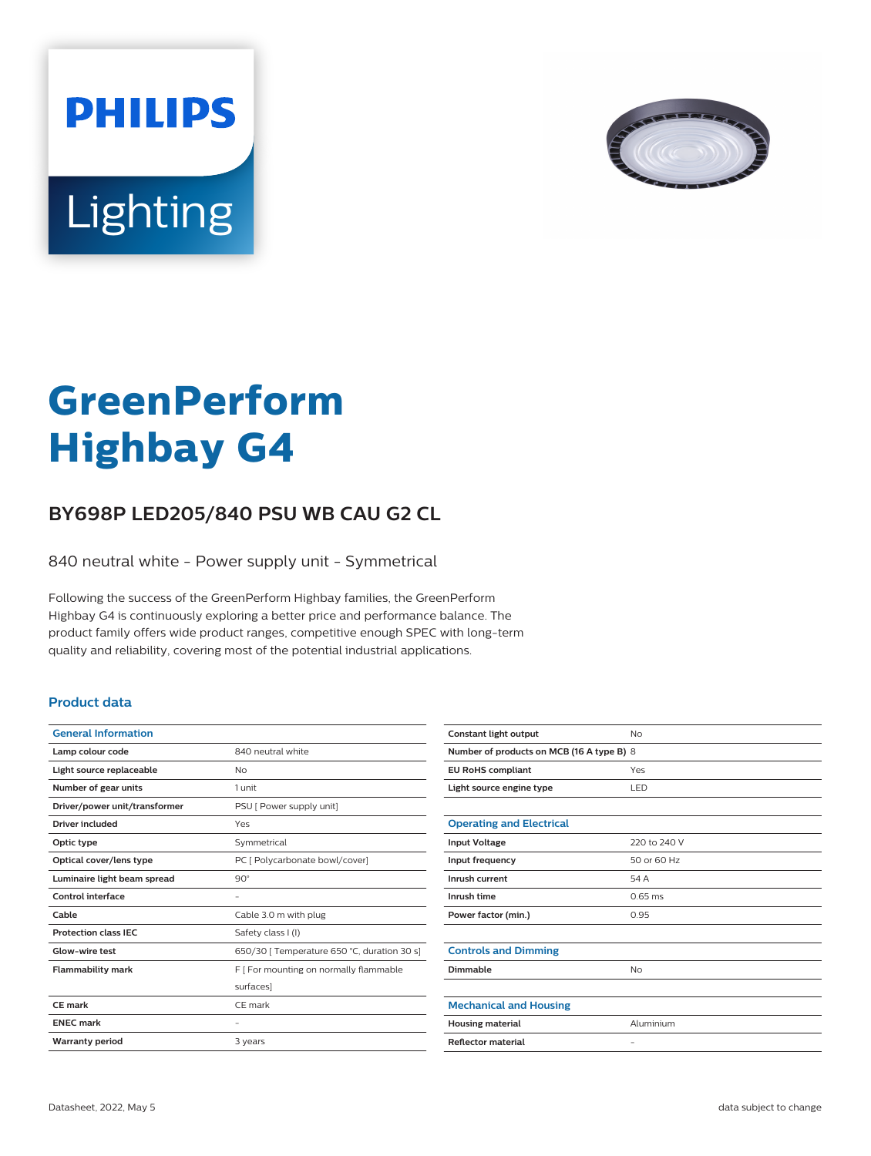



# **GreenPerform Highbay G4**

## **BY698P LED205/840 PSU WB CAU G2 CL**

840 neutral white - Power supply unit - Symmetrical

Following the success of the GreenPerform Highbay families, the GreenPerform Highbay G4 is continuously exploring a better price and performance balance. The product family offers wide product ranges, competitive enough SPEC with long-term quality and reliability, covering most of the potential industrial applications.

#### **Product data**

| <b>General Information</b>    |                                             |
|-------------------------------|---------------------------------------------|
| Lamp colour code              | 840 neutral white                           |
| Light source replaceable      | No                                          |
| Number of gear units          | 1 unit                                      |
| Driver/power unit/transformer | PSU [ Power supply unit]                    |
| <b>Driver included</b>        | Yes                                         |
| Optic type                    | Symmetrical                                 |
| Optical cover/lens type       | PC [ Polycarbonate bowl/cover]              |
| Luminaire light beam spread   | $90^\circ$                                  |
| Control interface             |                                             |
| Cable                         | Cable 3.0 m with plug                       |
| <b>Protection class IEC</b>   | Safety class I (I)                          |
| Glow-wire test                | 650/30   Temperature 650 °C, duration 30 s] |
| <b>Flammability mark</b>      | F [ For mounting on normally flammable      |
|                               | surfaces]                                   |
| CF mark                       | CF mark                                     |
| <b>ENEC mark</b>              |                                             |
| <b>Warranty period</b>        | 3 years                                     |
|                               |                                             |

| Constant light output                     | No                |  |
|-------------------------------------------|-------------------|--|
| Number of products on MCB (16 A type B) 8 |                   |  |
| <b>EU RoHS compliant</b>                  | Yes               |  |
| Light source engine type                  | LED               |  |
|                                           |                   |  |
| <b>Operating and Electrical</b>           |                   |  |
| <b>Input Voltage</b>                      | 220 to 240 V      |  |
| Input frequency                           | 50 or 60 Hz       |  |
| Inrush current                            | 54 A              |  |
| Inrush time                               | $0.65$ ms         |  |
| Power factor (min.)                       | 0.95              |  |
|                                           |                   |  |
| <b>Controls and Dimming</b>               |                   |  |
| Dimmable                                  | <b>No</b>         |  |
|                                           |                   |  |
| <b>Mechanical and Housing</b>             |                   |  |
| <b>Housing material</b>                   | Aluminium         |  |
| <b>Reflector material</b>                 | $\qquad \qquad -$ |  |
|                                           |                   |  |